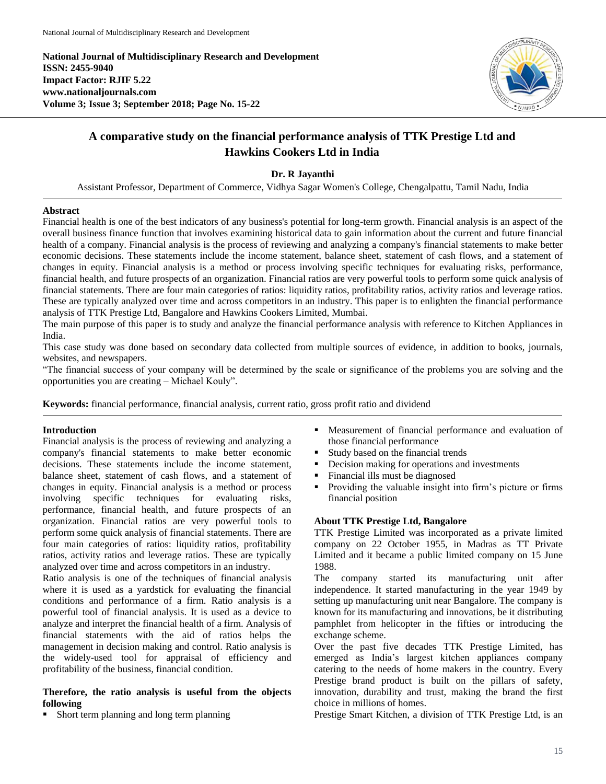**National Journal of Multidisciplinary Research and Development ISSN: 2455-9040 Impact Factor: RJIF 5.22 www.nationaljournals.com Volume 3; Issue 3; September 2018; Page No. 15-22**



# **A comparative study on the financial performance analysis of TTK Prestige Ltd and Hawkins Cookers Ltd in India**

# **Dr. R Jayanthi**

Assistant Professor, Department of Commerce, Vidhya Sagar Women's College, Chengalpattu, Tamil Nadu, India

### **Abstract**

Financial health is one of the best indicators of any business's potential for long-term growth. Financial analysis is an aspect of the overall business finance function that involves examining historical data to gain information about the current and future financial health of a company. Financial analysis is the process of reviewing and analyzing a company's financial statements to make better economic decisions. These statements include the income statement, balance sheet, statement of cash flows, and a statement of changes in equity. Financial analysis is a method or process involving specific techniques for evaluating risks, performance, financial health, and future prospects of an organization. Financial ratios are very powerful tools to perform some quick analysis of financial statements. There are four main categories of ratios: liquidity ratios, profitability ratios, activity ratios and leverage ratios. These are typically analyzed over time and across competitors in an industry. This paper is to enlighten the financial performance analysis of TTK Prestige Ltd, Bangalore and Hawkins Cookers Limited, Mumbai.

The main purpose of this paper is to study and analyze the financial performance analysis with reference to Kitchen Appliances in India.

This case study was done based on secondary data collected from multiple sources of evidence, in addition to books, journals, websites, and newspapers.

"The financial success of your company will be determined by the scale or significance of the problems you are solving and the opportunities you are creating – Michael Kouly".

**Keywords:** financial performance, financial analysis, current ratio, gross profit ratio and dividend

## **Introduction**

Financial analysis is the process of reviewing and analyzing a company's financial statements to make better economic decisions. These statements include the income statement, balance sheet, statement of cash flows, and a statement of changes in equity. Financial analysis is a method or process involving specific techniques for evaluating risks, performance, financial health, and future prospects of an organization. Financial ratios are very powerful tools to perform some quick analysis of financial statements. There are four main categories of ratios: liquidity ratios, profitability ratios, activity ratios and leverage ratios. These are typically analyzed over time and across competitors in an industry.

Ratio analysis is one of the techniques of financial analysis where it is used as a yardstick for evaluating the financial conditions and performance of a firm. Ratio analysis is a powerful tool of financial analysis. It is used as a device to analyze and interpret the financial health of a firm. Analysis of financial statements with the aid of ratios helps the management in decision making and control. Ratio analysis is the widely-used tool for appraisal of efficiency and profitability of the business, financial condition.

## **Therefore, the ratio analysis is useful from the objects following**

**Short term planning and long term planning** 

- Measurement of financial performance and evaluation of those financial performance
- Study based on the financial trends
- Decision making for operations and investments
- Financial ills must be diagnosed
- Providing the valuable insight into firm's picture or firms financial position

# **About TTK Prestige Ltd, Bangalore**

TTK Prestige Limited was incorporated as a private limited company on 22 October 1955, in Madras as TT Private Limited and it became a public limited company on 15 June 1988.

The company started its manufacturing unit after independence. It started manufacturing in the year 1949 by setting up manufacturing unit near Bangalore. The company is known for its manufacturing and innovations, be it distributing pamphlet from helicopter in the fifties or introducing the exchange scheme.

Over the past five decades TTK Prestige Limited, has emerged as India's largest kitchen appliances company catering to the needs of home makers in the country. Every Prestige brand product is built on the pillars of safety, innovation, durability and trust, making the brand the first choice in millions of homes.

Prestige Smart Kitchen, a division of TTK Prestige Ltd, is an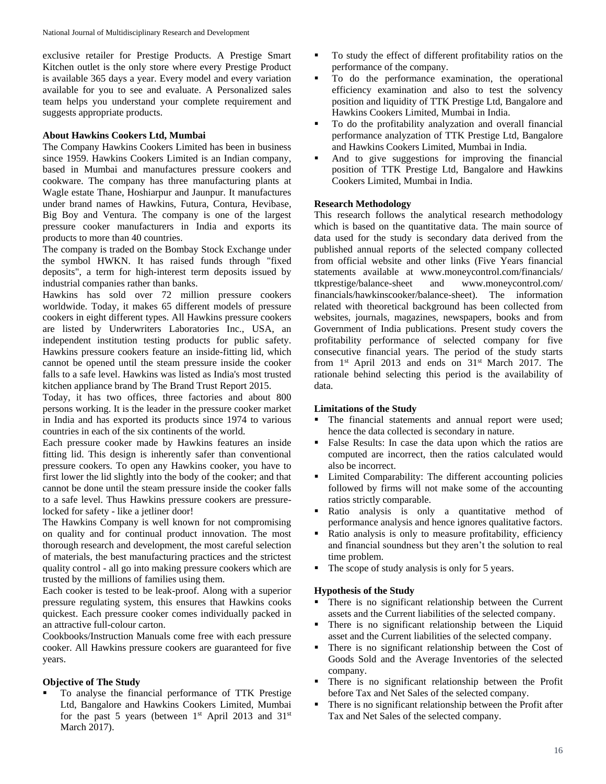exclusive retailer for Prestige Products. A Prestige Smart Kitchen outlet is the only store where every Prestige Product is available 365 days a year. Every model and every variation available for you to see and evaluate. A Personalized sales team helps you understand your complete requirement and suggests appropriate products.

## **About Hawkins Cookers Ltd, Mumbai**

The Company Hawkins Cookers Limited has been in business since 1959. Hawkins Cookers Limited is an Indian company, based in Mumbai and manufactures pressure cookers and cookware. The company has three manufacturing plants at Wagle estate Thane, Hoshiarpur and Jaunpur. It manufactures under brand names of Hawkins, Futura, Contura, Hevibase, Big Boy and Ventura. The company is one of the largest pressure cooker manufacturers in India and exports its products to more than 40 countries.

The company is traded on the Bombay Stock Exchange under the symbol HWKN. It has raised funds through "fixed deposits", a term for high-interest term deposits issued by industrial companies rather than banks.

Hawkins has sold over 72 million pressure cookers worldwide. Today, it makes 65 different models of pressure cookers in eight different types. All Hawkins pressure cookers are listed by Underwriters Laboratories Inc., USA, an independent institution testing products for public safety. Hawkins pressure cookers feature an inside-fitting lid, which cannot be opened until the steam pressure inside the cooker falls to a safe level. Hawkins was listed as India's most trusted kitchen appliance brand by The Brand Trust Report 2015.

Today, it has two offices, three factories and about 800 persons working. It is the leader in the pressure cooker market in India and has exported its products since 1974 to various countries in each of the six continents of the world.

Each pressure cooker made by Hawkins features an inside fitting lid. This design is inherently safer than conventional pressure cookers. To open any Hawkins cooker, you have to first lower the lid slightly into the body of the cooker; and that cannot be done until the steam pressure inside the cooker falls to a safe level. Thus Hawkins pressure cookers are pressurelocked for safety - like a jetliner door!

The Hawkins Company is well known for not compromising on quality and for continual product innovation. The most thorough research and development, the most careful selection of materials, the best manufacturing practices and the strictest quality control - all go into making pressure cookers which are trusted by the millions of families using them.

Each cooker is tested to be leak-proof. Along with a superior pressure regulating system, this ensures that Hawkins cooks quickest. Each pressure cooker comes individually packed in an attractive full-colour carton.

Cookbooks/Instruction Manuals come free with each pressure cooker. All Hawkins pressure cookers are guaranteed for five years.

## **Objective of The Study**

 To analyse the financial performance of TTK Prestige Ltd, Bangalore and Hawkins Cookers Limited, Mumbai for the past 5 years (between  $1<sup>st</sup>$  April 2013 and 31<sup>st</sup> March 2017).

- To study the effect of different profitability ratios on the performance of the company.
- To do the performance examination, the operational efficiency examination and also to test the solvency position and liquidity of TTK Prestige Ltd, Bangalore and Hawkins Cookers Limited, Mumbai in India.
- To do the profitability analyzation and overall financial performance analyzation of TTK Prestige Ltd, Bangalore and Hawkins Cookers Limited, Mumbai in India.
- And to give suggestions for improving the financial position of TTK Prestige Ltd, Bangalore and Hawkins Cookers Limited, Mumbai in India.

## **Research Methodology**

This research follows the analytical research methodology which is based on the quantitative data. The main source of data used for the study is secondary data derived from the published annual reports of the selected company collected from official website and other links (Five Years financial statements available at www.moneycontrol.com/financials/ ttkprestige/balance-sheet and www.moneycontrol.com/ financials/hawkinscooker/balance-sheet). The information related with theoretical background has been collected from websites, journals, magazines, newspapers, books and from Government of India publications. Present study covers the profitability performance of selected company for five consecutive financial years. The period of the study starts from  $1<sup>st</sup>$  April 2013 and ends on  $31<sup>st</sup>$  March 2017. The rationale behind selecting this period is the availability of data.

### **Limitations of the Study**

- The financial statements and annual report were used; hence the data collected is secondary in nature.
- False Results: In case the data upon which the ratios are computed are incorrect, then the ratios calculated would also be incorrect.
- **EXECUTE:** Limited Comparability: The different accounting policies followed by firms will not make some of the accounting ratios strictly comparable.
- Ratio analysis is only a quantitative method of performance analysis and hence ignores qualitative factors.
- Ratio analysis is only to measure profitability, efficiency and financial soundness but they aren't the solution to real time problem.
- The scope of study analysis is only for 5 years.

### **Hypothesis of the Study**

- There is no significant relationship between the Current assets and the Current liabilities of the selected company.
- There is no significant relationship between the Liquid asset and the Current liabilities of the selected company.
- There is no significant relationship between the Cost of Goods Sold and the Average Inventories of the selected company.
- There is no significant relationship between the Profit before Tax and Net Sales of the selected company.
- **There is no significant relationship between the Profit after** Tax and Net Sales of the selected company.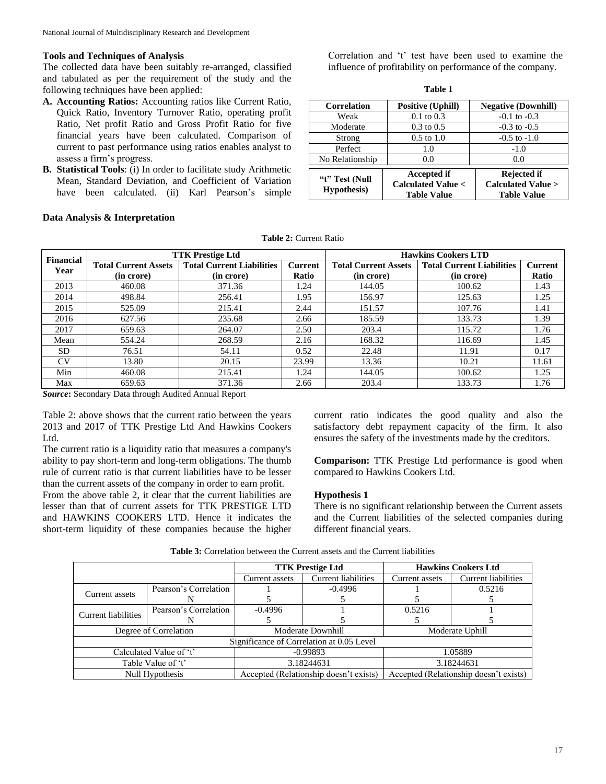#### **Tools and Techniques of Analysis**

The collected data have been suitably re-arranged, classified and tabulated as per the requirement of the study and the following techniques have been applied:

- **A. Accounting Ratios:** Accounting ratios like Current Ratio, Quick Ratio, Inventory Turnover Ratio, operating profit Ratio, Net profit Ratio and Gross Profit Ratio for five financial years have been calculated. Comparison of current to past performance using ratios enables analyst to assess a firm's progress.
- **B. Statistical Tools**: (i) In order to facilitate study Arithmetic Mean, Standard Deviation, and Coefficient of Variation have been calculated. (ii) Karl Pearson's simple

Correlation and 't' test have been used to examine the influence of profitability on performance of the company.

**Table 1**

| <b>Correlation</b>                    | <b>Positive (Uphill)</b>                                                 | <b>Negative (Downhill)</b>                                               |  |
|---------------------------------------|--------------------------------------------------------------------------|--------------------------------------------------------------------------|--|
| Weak                                  | $0.1 \text{ to } 0.3$                                                    | $-0.1$ to $-0.3$                                                         |  |
| Moderate                              | $0.3 \text{ to } 0.5$                                                    | $-0.3$ to $-0.5$                                                         |  |
| Strong                                | $0.5$ to $1.0$                                                           | $-0.5$ to $-1.0$                                                         |  |
| Perfect                               | 1.0                                                                      | $-1.0$                                                                   |  |
| No Relationship                       | 0.0                                                                      | 0.0                                                                      |  |
| "t" Test (Null<br><b>Hypothesis</b> ) | <b>Accepted if</b><br><b>Calculated Value &lt;</b><br><b>Table Value</b> | <b>Rejected if</b><br><b>Calculated Value &gt;</b><br><b>Table Value</b> |  |

## **Data Analysis & Interpretation**

**Table 2:** Current Ratio

| Financial |                             | <b>TTK Prestige Ltd</b>          |         | <b>Hawkins Cookers LTD</b>  |                                  |                |  |
|-----------|-----------------------------|----------------------------------|---------|-----------------------------|----------------------------------|----------------|--|
| Year      | <b>Total Current Assets</b> | <b>Total Current Liabilities</b> | Current | <b>Total Current Assets</b> | <b>Total Current Liabilities</b> | <b>Current</b> |  |
|           | (in crore)                  | (in crore)                       | Ratio   | (in crore)                  | (in crore)                       | Ratio          |  |
| 2013      | 460.08                      | 371.36                           | 1.24    | 144.05                      | 100.62                           | 1.43           |  |
| 2014      | 498.84                      | 256.41                           | 1.95    | 156.97                      | 125.63                           | 1.25           |  |
| 2015      | 525.09                      | 215.41                           | 2.44    | 151.57                      | 107.76                           | 1.41           |  |
| 2016      | 627.56                      | 235.68                           | 2.66    | 185.59                      | 133.73                           | 1.39           |  |
| 2017      | 659.63                      | 264.07                           | 2.50    | 203.4                       | 115.72                           | 1.76           |  |
| Mean      | 554.24                      | 268.59                           | 2.16    | 168.32                      | 116.69                           | 1.45           |  |
| SD.       | 76.51                       | 54.11                            | 0.52    | 22.48                       | 11.91                            | 0.17           |  |
| <b>CV</b> | 13.80                       | 20.15                            | 23.99   | 13.36                       | 10.21                            | 11.61          |  |
| Min       | 460.08                      | 215.41                           | l.24    | 144.05                      | 100.62                           | 1.25           |  |
| Max       | 659.63                      | 371.36                           | 2.66    | 203.4                       | 133.73                           | 1.76           |  |

*Source***:** Secondary Data through Audited Annual Report

Table 2: above shows that the current ratio between the years 2013 and 2017 of TTK Prestige Ltd And Hawkins Cookers Ltd.

The current ratio is a liquidity ratio that measures a company's ability to pay short-term and long-term obligations. The thumb rule of current ratio is that current liabilities have to be lesser than the current assets of the company in order to earn profit.

From the above table 2, it clear that the current liabilities are lesser than that of current assets for TTK PRESTIGE LTD and HAWKINS COOKERS LTD. Hence it indicates the short-term liquidity of these companies because the higher current ratio indicates the good quality and also the satisfactory debt repayment capacity of the firm. It also ensures the safety of the investments made by the creditors.

**Comparison:** TTK Prestige Ltd performance is good when compared to Hawkins Cookers Ltd.

#### **Hypothesis 1**

There is no significant relationship between the Current assets and the Current liabilities of the selected companies during different financial years.

|                         | <b>TTK Prestige Ltd</b>                |                     |                                           | <b>Hawkins Cookers Ltd</b> |  |
|-------------------------|----------------------------------------|---------------------|-------------------------------------------|----------------------------|--|
|                         | Current assets                         | Current liabilities | Current assets                            | <b>Current liabilities</b> |  |
| Pearson's Correlation   |                                        | $-0.4996$           |                                           | 0.5216                     |  |
|                         |                                        |                     |                                           |                            |  |
| Pearson's Correlation   | $-0.4996$                              |                     | 0.5216                                    |                            |  |
|                         |                                        |                     |                                           |                            |  |
| Degree of Correlation   |                                        | Moderate Downhill   |                                           | Moderate Uphill            |  |
|                         |                                        |                     |                                           |                            |  |
| Calculated Value of 't' |                                        | $-0.99893$          |                                           | 1.05889                    |  |
| Table Value of 't'      |                                        | 3.18244631          |                                           | 3.18244631                 |  |
|                         | Accepted (Relationship doesn't exists) |                     | Accepted (Relationship doesn't exists)    |                            |  |
|                         | Null Hypothesis                        |                     | Significance of Correlation at 0.05 Level |                            |  |

**Table 3:** Correlation between the Current assets and the Current liabilities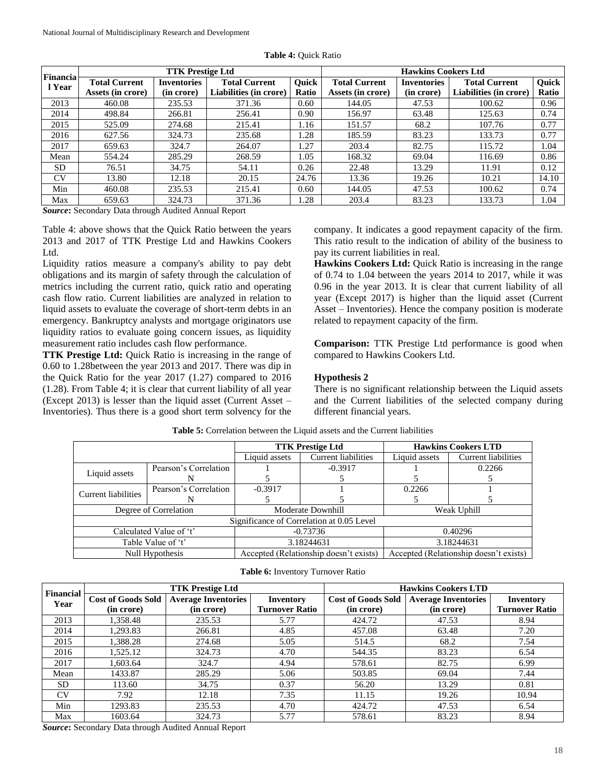|                    |                                                    |                    |                        | <b>TTK Prestige Ltd</b> |                      |                    |                        | <b>Hawkins Cookers Ltd</b> |  |  |  |
|--------------------|----------------------------------------------------|--------------------|------------------------|-------------------------|----------------------|--------------------|------------------------|----------------------------|--|--|--|
| Financia<br>l Year | <b>Total Current</b>                               | <b>Inventories</b> | <b>Total Current</b>   | Ouick                   | <b>Total Current</b> | <b>Inventories</b> | <b>Total Current</b>   | Quick                      |  |  |  |
|                    | Assets (in crore)                                  | (in crore)         | Liabilities (in crore) | Ratio                   | Assets (in crore)    | (in crore)         | Liabilities (in crore) | Ratio                      |  |  |  |
| 2013               | 460.08                                             | 235.53             | 371.36                 | 0.60                    | 144.05               | 47.53              | 100.62                 | 0.96                       |  |  |  |
| 2014               | 498.84                                             | 266.81             | 256.41                 | 0.90                    | 156.97               | 63.48              | 125.63                 | 0.74                       |  |  |  |
| 2015               | 525.09                                             | 274.68             | 215.41                 | 1.16                    | 151.57               | 68.2               | 107.76                 | 0.77                       |  |  |  |
| 2016               | 627.56                                             | 324.73             | 235.68                 | .28                     | 185.59               | 83.23              | 133.73                 | 0.77                       |  |  |  |
| 2017               | 659.63                                             | 324.7              | 264.07                 | 1.27                    | 203.4                | 82.75              | 115.72                 | 1.04                       |  |  |  |
| Mean               | 554.24                                             | 285.29             | 268.59                 | 1.05                    | 168.32               | 69.04              | 116.69                 | 0.86                       |  |  |  |
| <b>SD</b>          | 76.51                                              | 34.75              | 54.11                  | 0.26                    | 22.48                | 13.29              | 11.91                  | 0.12                       |  |  |  |
| CV                 | 13.80                                              | 12.18              | 20.15                  | 24.76                   | 13.36                | 19.26              | 10.21                  | 14.10                      |  |  |  |
| Min                | 460.08                                             | 235.53             | 215.41                 | 0.60                    | 144.05               | 47.53              | 100.62                 | 0.74                       |  |  |  |
| Max                | 659.63                                             | 324.73             | 371.36                 | 1.28                    | 203.4                | 83.23              | 133.73                 | 1.04                       |  |  |  |
|                    | Course Coondary Data through Audited Annual Depart |                    |                        |                         |                      |                    |                        |                            |  |  |  |

*Source***:** Secondary Data through Audited Annual Report

Table 4: above shows that the Quick Ratio between the years 2013 and 2017 of TTK Prestige Ltd and Hawkins Cookers Ltd.

Liquidity ratios measure a company's ability to pay debt obligations and its margin of safety through the calculation of metrics including the current ratio, quick ratio and operating cash flow ratio. Current liabilities are analyzed in relation to liquid assets to evaluate the coverage of short-term debts in an emergency. Bankruptcy analysts and mortgage originators use liquidity ratios to evaluate going concern issues, as liquidity measurement ratio includes cash flow performance.

**TTK Prestige Ltd:** Quick Ratio is increasing in the range of 0.60 to 1.28between the year 2013 and 2017. There was dip in the Quick Ratio for the year 2017 (1.27) compared to 2016 (1.28). From Table 4; it is clear that current liability of all year (Except 2013) is lesser than the liquid asset (Current Asset – Inventories). Thus there is a good short term solvency for the company. It indicates a good repayment capacity of the firm. This ratio result to the indication of ability of the business to pay its current liabilities in real.

**Hawkins Cookers Ltd:** Quick Ratio is increasing in the range of 0.74 to 1.04 between the years 2014 to 2017, while it was 0.96 in the year 2013. It is clear that current liability of all year (Except 2017) is higher than the liquid asset (Current Asset – Inventories). Hence the company position is moderate related to repayment capacity of the firm.

**Comparison:** TTK Prestige Ltd performance is good when compared to Hawkins Cookers Ltd.

### **Hypothesis 2**

There is no significant relationship between the Liquid assets and the Current liabilities of the selected company during different financial years.

|                            |                       |                                        | <b>TTK Prestige Ltd</b>                   | <b>Hawkins Cookers LTD</b>             |                     |
|----------------------------|-----------------------|----------------------------------------|-------------------------------------------|----------------------------------------|---------------------|
|                            |                       | Liquid assets                          | <b>Current liabilities</b>                | Liquid assets                          | Current liabilities |
|                            | Pearson's Correlation |                                        | $-0.3917$                                 |                                        | 0.2266              |
| Liquid assets              |                       |                                        |                                           |                                        |                     |
| <b>Current liabilities</b> | Pearson's Correlation | $-0.3917$                              |                                           | 0.2266                                 |                     |
|                            |                       |                                        |                                           |                                        |                     |
| Degree of Correlation      |                       | Moderate Downhill                      |                                           | Weak Uphill                            |                     |
|                            |                       |                                        | Significance of Correlation at 0.05 Level |                                        |                     |
| Calculated Value of 't'    |                       | $-0.73736$                             |                                           | 0.40296                                |                     |
| Table Value of 't'         |                       | 3.18244631                             |                                           | 3.18244631                             |                     |
| Null Hypothesis            |                       | Accepted (Relationship doesn't exists) |                                           | Accepted (Relationship doesn't exists) |                     |

**Table 5:** Correlation between the Liquid assets and the Current liabilities

| Table 6: Inventory Turnover Ratio |
|-----------------------------------|
|-----------------------------------|

|                   |                    | <b>TTK Prestige Ltd</b>    |                       | <b>Hawkins Cookers LTD</b> |                            |                       |  |
|-------------------|--------------------|----------------------------|-----------------------|----------------------------|----------------------------|-----------------------|--|
| Financial<br>Year | Cost of Goods Sold | <b>Average Inventories</b> | Inventory             | <b>Cost of Goods Sold</b>  | <b>Average Inventories</b> | Inventory             |  |
|                   | (in crore)         | (in crore)                 | <b>Turnover Ratio</b> | (in crore)                 | (in crore)                 | <b>Turnover Ratio</b> |  |
| 2013              | 1,358.48           | 235.53                     | 5.77                  | 424.72                     | 47.53                      | 8.94                  |  |
| 2014              | 1,293.83           | 266.81                     | 4.85                  | 457.08                     | 63.48                      | 7.20                  |  |
| 2015              | 1,388.28           | 274.68                     | 5.05                  | 514.5                      | 68.2                       | 7.54                  |  |
| 2016              | 1,525.12           | 324.73                     | 4.70                  | 544.35                     | 83.23                      | 6.54                  |  |
| 2017              | 1,603.64           | 324.7                      | 4.94                  | 578.61                     | 82.75                      | 6.99                  |  |
| Mean              | 1433.87            | 285.29                     | 5.06                  | 503.85                     | 69.04                      | 7.44                  |  |
| <b>SD</b>         | 113.60             | 34.75                      | 0.37                  | 56.20                      | 13.29                      | 0.81                  |  |
| <b>CV</b>         | 7.92               | 12.18                      | 7.35                  | 11.15                      | 19.26                      | 10.94                 |  |
| Min               | 1293.83            | 235.53                     | 4.70                  | 424.72                     | 47.53                      | 6.54                  |  |
| Max               | 1603.64            | 324.73                     | 5.77                  | 578.61                     | 83.23                      | 8.94                  |  |

*Source***:** Secondary Data through Audited Annual Report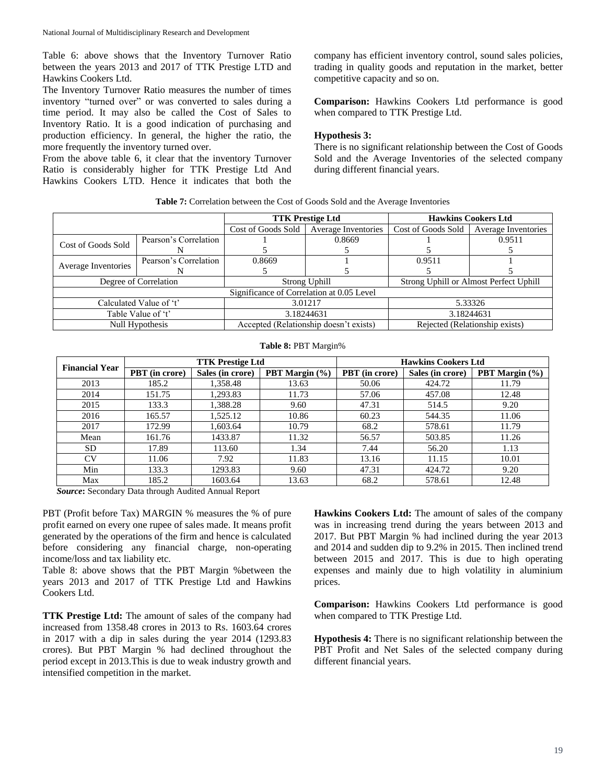Table 6: above shows that the Inventory Turnover Ratio between the years 2013 and 2017 of TTK Prestige LTD and Hawkins Cookers Ltd.

The Inventory Turnover Ratio measures the number of times inventory "turned over" or was converted to sales during a time period. It may also be called the Cost of Sales to Inventory Ratio. It is a good indication of purchasing and production efficiency. In general, the higher the ratio, the more frequently the inventory turned over.

From the above table 6, it clear that the inventory Turnover Ratio is considerably higher for TTK Prestige Ltd And Hawkins Cookers LTD. Hence it indicates that both the

company has efficient inventory control, sound sales policies, trading in quality goods and reputation in the market, better competitive capacity and so on.

**Comparison:** Hawkins Cookers Ltd performance is good when compared to TTK Prestige Ltd.

### **Hypothesis 3:**

There is no significant relationship between the Cost of Goods Sold and the Average Inventories of the selected company during different financial years.

|  |  | Table 7: Correlation between the Cost of Goods Sold and the Average Inventories |  |
|--|--|---------------------------------------------------------------------------------|--|
|--|--|---------------------------------------------------------------------------------|--|

|                         |                       |                                           | <b>TTK Prestige Ltd</b>                | <b>Hawkins Cookers Ltd</b>             |                     |
|-------------------------|-----------------------|-------------------------------------------|----------------------------------------|----------------------------------------|---------------------|
|                         |                       | Cost of Goods Sold                        | Average Inventories                    | Cost of Goods Sold                     | Average Inventories |
| Cost of Goods Sold      | Pearson's Correlation |                                           | 0.8669                                 |                                        | 0.9511              |
|                         | N                     |                                           |                                        |                                        |                     |
| Average Inventories     | Pearson's Correlation | 0.8669                                    |                                        | 0.9511                                 |                     |
|                         |                       |                                           |                                        |                                        |                     |
| Degree of Correlation   |                       | Strong Uphill                             |                                        | Strong Uphill or Almost Perfect Uphill |                     |
|                         |                       | Significance of Correlation at 0.05 Level |                                        |                                        |                     |
| Calculated Value of 't' |                       | 3.01217                                   |                                        | 5.33326                                |                     |
| Table Value of 't'      |                       | 3.18244631                                |                                        | 3.18244631                             |                     |
|                         | Null Hypothesis       |                                           | Accepted (Relationship doesn't exists) | Rejected (Relationship exists)         |                     |

#### **Table 8:** PBT Margin%

| <b>Financial Year</b> |                       | <b>TTK Prestige Ltd</b> |                | <b>Hawkins Cookers Ltd</b> |                  |                          |  |
|-----------------------|-----------------------|-------------------------|----------------|----------------------------|------------------|--------------------------|--|
|                       | <b>PBT</b> (in crore) | Sales (in crore)        | PBT Margin (%) | <b>PBT</b> (in crore)      | Sales (in crore) | <b>PBT</b> Margin $(\%)$ |  |
| 2013                  | 185.2                 | 1,358.48                | 13.63          | 50.06                      | 424.72           | 11.79                    |  |
| 2014                  | 151.75                | 1,293.83                | 11.73          | 57.06                      | 457.08           | 12.48                    |  |
| 2015                  | 133.3                 | 1,388.28                | 9.60           | 47.31                      | 514.5            | 9.20                     |  |
| 2016                  | 165.57                | 1,525.12                | 10.86          | 60.23                      | 544.35           | 11.06                    |  |
| 2017                  | 172.99                | 1,603.64                | 10.79          | 68.2                       | 578.61           | 11.79                    |  |
| Mean                  | 161.76                | 1433.87                 | 11.32          | 56.57                      | 503.85           | 11.26                    |  |
| SD.                   | 17.89                 | 113.60                  | 1.34           | 7.44                       | 56.20            | 1.13                     |  |
| CV                    | 11.06                 | 7.92                    | 11.83          | 13.16                      | 11.15            | 10.01                    |  |
| Min                   | 133.3                 | 1293.83                 | 9.60           | 47.31                      | 424.72           | 9.20                     |  |
| Max                   | 185.2                 | 1603.64                 | 13.63          | 68.2                       | 578.61           | 12.48                    |  |

*Source***:** Secondary Data through Audited Annual Report

PBT (Profit before Tax) MARGIN % measures the % of pure profit earned on every one rupee of sales made. It means profit generated by the operations of the firm and hence is calculated before considering any financial charge, non-operating income/loss and tax liability etc.

Table 8: above shows that the PBT Margin %between the years 2013 and 2017 of TTK Prestige Ltd and Hawkins Cookers Ltd.

**TTK Prestige Ltd:** The amount of sales of the company had increased from 1358.48 crores in 2013 to Rs. 1603.64 crores in 2017 with a dip in sales during the year 2014 (1293.83 crores). But PBT Margin % had declined throughout the period except in 2013.This is due to weak industry growth and intensified competition in the market.

**Hawkins Cookers Ltd:** The amount of sales of the company was in increasing trend during the years between 2013 and 2017. But PBT Margin % had inclined during the year 2013 and 2014 and sudden dip to 9.2% in 2015. Then inclined trend between 2015 and 2017. This is due to high operating expenses and mainly due to high volatility in aluminium prices.

**Comparison:** Hawkins Cookers Ltd performance is good when compared to TTK Prestige Ltd.

**Hypothesis 4:** There is no significant relationship between the PBT Profit and Net Sales of the selected company during different financial years.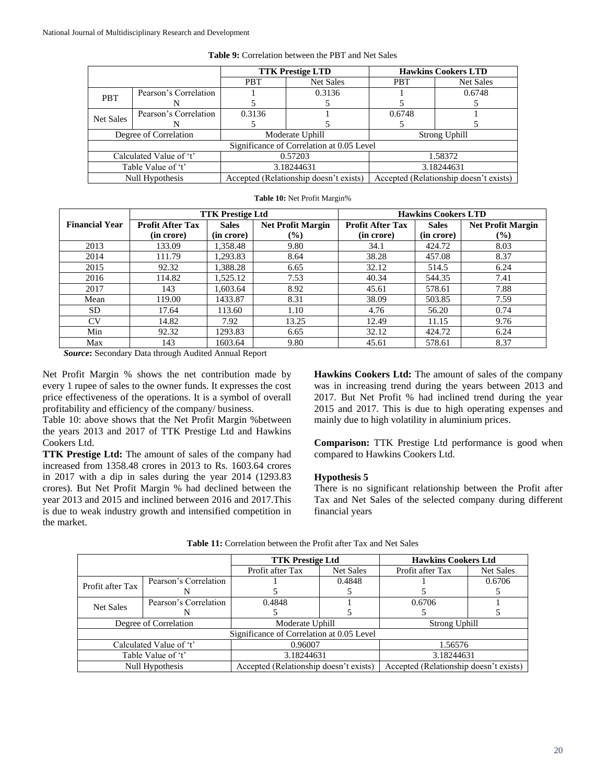|                         |                       |                 | <b>TTK Prestige LTD</b>                   | <b>Hawkins Cookers LTD</b>             |                  |
|-------------------------|-----------------------|-----------------|-------------------------------------------|----------------------------------------|------------------|
|                         |                       | <b>PBT</b>      | Net Sales                                 | <b>PBT</b>                             | <b>Net Sales</b> |
| <b>PBT</b>              | Pearson's Correlation |                 | 0.3136                                    |                                        | 0.6748           |
|                         | N                     |                 |                                           |                                        |                  |
| <b>Net Sales</b>        | Pearson's Correlation | 0.3136          |                                           | 0.6748                                 |                  |
|                         |                       |                 |                                           |                                        |                  |
|                         | Degree of Correlation | Moderate Uphill |                                           | Strong Uphill                          |                  |
|                         |                       |                 | Significance of Correlation at 0.05 Level |                                        |                  |
| Calculated Value of 't' |                       | 0.57203         |                                           | 1.58372                                |                  |
| Table Value of 't'      |                       | 3.18244631      |                                           | 3.18244631                             |                  |
|                         | Null Hypothesis       |                 | Accepted (Relationship doesn't exists)    | Accepted (Relationship doesn't exists) |                  |

**Table 10:** Net Profit Margin%

|  |  |  |  |  | <b>Table 9:</b> Correlation between the PBT and Net Sales |
|--|--|--|--|--|-----------------------------------------------------------|
|--|--|--|--|--|-----------------------------------------------------------|

|                       | <b>TTK Prestige Ltd</b><br><b>Hawkins Cookers LTD</b> |              |                          |                         |              |                          |
|-----------------------|-------------------------------------------------------|--------------|--------------------------|-------------------------|--------------|--------------------------|
| <b>Financial Year</b> | <b>Profit After Tax</b>                               | <b>Sales</b> | <b>Net Profit Margin</b> | <b>Profit After Tax</b> | <b>Sales</b> | <b>Net Profit Margin</b> |
|                       | (in crore)                                            | (in crore)   | $\frac{6}{6}$            | (in crore)              | (in crore)   | $\frac{6}{6}$            |
| 2013                  | 133.09                                                | 1,358.48     | 9.80                     | 34.1                    | 424.72       | 8.03                     |
| 2014                  | 111.79                                                | 1,293.83     | 8.64                     | 38.28                   | 457.08       | 8.37                     |
| 2015                  | 92.32                                                 | 1,388.28     | 6.65                     | 32.12                   | 514.5        | 6.24                     |
| 2016                  | 114.82                                                | 1,525.12     | 7.53                     | 40.34                   | 544.35       | 7.41                     |
| 2017                  | 143                                                   | 1,603.64     | 8.92                     | 45.61                   | 578.61       | 7.88                     |
| Mean                  | 119.00                                                | 1433.87      | 8.31                     | 38.09                   | 503.85       | 7.59                     |
| <b>SD</b>             | 17.64                                                 | 113.60       | 1.10                     | 4.76                    | 56.20        | 0.74                     |
| <b>CV</b>             | 14.82                                                 | 7.92         | 13.25                    | 12.49                   | 11.15        | 9.76                     |
| Min                   | 92.32                                                 | 1293.83      | 6.65                     | 32.12                   | 424.72       | 6.24                     |
| Max                   | 143                                                   | 1603.64      | 9.80                     | 45.61                   | 578.61       | 8.37                     |

*Source***:** Secondary Data through Audited Annual Report

Net Profit Margin % shows the net contribution made by every 1 rupee of sales to the owner funds. It expresses the cost price effectiveness of the operations. It is a symbol of overall profitability and efficiency of the company/ business.

Table 10: above shows that the Net Profit Margin %between the years 2013 and 2017 of TTK Prestige Ltd and Hawkins Cookers Ltd.

**TTK Prestige Ltd:** The amount of sales of the company had increased from 1358.48 crores in 2013 to Rs. 1603.64 crores in 2017 with a dip in sales during the year 2014 (1293.83 crores). But Net Profit Margin % had declined between the year 2013 and 2015 and inclined between 2016 and 2017.This is due to weak industry growth and intensified competition in the market.

**Hawkins Cookers Ltd:** The amount of sales of the company was in increasing trend during the years between 2013 and 2017. But Net Profit % had inclined trend during the year 2015 and 2017. This is due to high operating expenses and mainly due to high volatility in aluminium prices.

**Comparison:** TTK Prestige Ltd performance is good when compared to Hawkins Cookers Ltd.

### **Hypothesis 5**

There is no significant relationship between the Profit after Tax and Net Sales of the selected company during different financial years

|                                           |                       | <b>TTK Prestige Ltd</b>                |                  | <b>Hawkins Cookers Ltd</b>             |           |  |
|-------------------------------------------|-----------------------|----------------------------------------|------------------|----------------------------------------|-----------|--|
|                                           |                       | Profit after Tax                       | <b>Net Sales</b> | Profit after Tax                       | Net Sales |  |
| Profit after Tax                          | Pearson's Correlation |                                        | 0.4848           |                                        | 0.6706    |  |
|                                           |                       |                                        |                  |                                        |           |  |
| Net Sales                                 | Pearson's Correlation | 0.4848                                 |                  | 0.6706                                 |           |  |
|                                           |                       |                                        |                  |                                        |           |  |
| Degree of Correlation                     |                       | Moderate Uphill                        |                  | Strong Uphill                          |           |  |
| Significance of Correlation at 0.05 Level |                       |                                        |                  |                                        |           |  |
| Calculated Value of 't'                   |                       | 0.96007                                |                  | 1.56576                                |           |  |
| Table Value of 't'                        |                       | 3.18244631                             |                  | 3.18244631                             |           |  |
| Null Hypothesis                           |                       | Accepted (Relationship doesn't exists) |                  | Accepted (Relationship doesn't exists) |           |  |

**Table 11:** Correlation between the Profit after Tax and Net Sales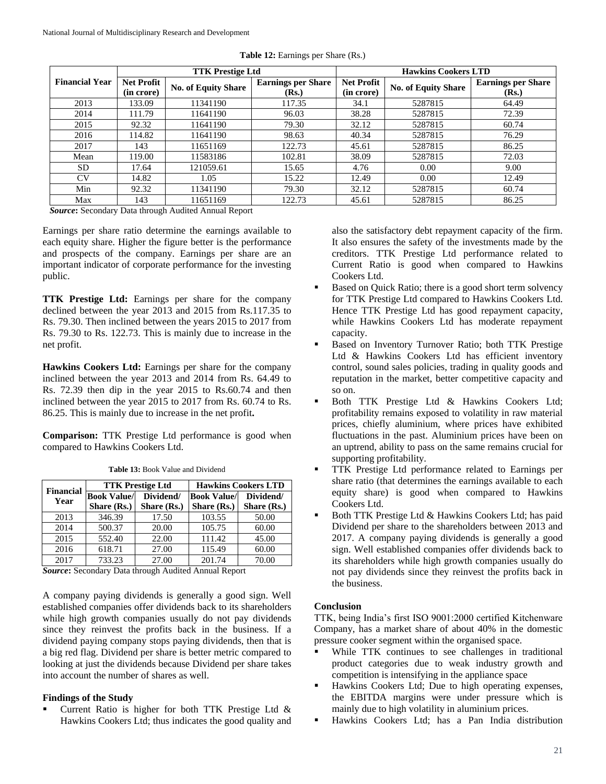|                                                    | <b>TTK Prestige Ltd</b>         |                            |                                    | <b>Hawkins Cookers LTD</b>      |                            |                                    |  |
|----------------------------------------------------|---------------------------------|----------------------------|------------------------------------|---------------------------------|----------------------------|------------------------------------|--|
| <b>Financial Year</b>                              | <b>Net Profit</b><br>(in crore) | <b>No. of Equity Share</b> | <b>Earnings per Share</b><br>(Rs.) | <b>Net Profit</b><br>(in crore) | <b>No. of Equity Share</b> | <b>Earnings per Share</b><br>(Rs.) |  |
| 2013                                               | 133.09                          | 11341190                   | 117.35                             | 34.1                            | 5287815                    | 64.49                              |  |
| 2014                                               | 111.79                          | 11641190                   | 96.03                              | 38.28                           | 5287815                    | 72.39                              |  |
| 2015                                               | 92.32                           | 11641190                   | 79.30                              | 32.12                           | 5287815                    | 60.74                              |  |
| 2016                                               | 114.82                          | 11641190                   | 98.63                              | 40.34                           | 5287815                    | 76.29                              |  |
| 2017                                               | 143                             | 11651169                   | 122.73                             | 45.61                           | 5287815                    | 86.25                              |  |
| Mean                                               | 119.00                          | 11583186                   | 102.81                             | 38.09                           | 5287815                    | 72.03                              |  |
| SD.                                                | 17.64                           | 121059.61                  | 15.65                              | 4.76                            | $0.00^{\circ}$             | 9.00                               |  |
| CV                                                 | 14.82                           | 1.05                       | 15.22                              | 12.49                           | 0.00 <sub>1</sub>          | 12.49                              |  |
| Min                                                | 92.32                           | 11341190                   | 79.30                              | 32.12                           | 5287815                    | 60.74                              |  |
| Max                                                | 143                             | 11651169                   | 122.73                             | 45.61                           | 5287815                    | 86.25                              |  |
| Course Coondary Data through Audited Annual Depart |                                 |                            |                                    |                                 |                            |                                    |  |

Table 12: Earnings per Share (Rs.)

*Source***:** Secondary Data through Audited Annual Report

Earnings per share ratio determine the earnings available to each equity share. Higher the figure better is the performance and prospects of the company. Earnings per share are an important indicator of corporate performance for the investing public.

**TTK Prestige Ltd:** Earnings per share for the company declined between the year 2013 and 2015 from Rs.117.35 to Rs. 79.30. Then inclined between the years 2015 to 2017 from Rs. 79.30 to Rs. 122.73. This is mainly due to increase in the net profit.

**Hawkins Cookers Ltd:** Earnings per share for the company inclined between the year 2013 and 2014 from Rs. 64.49 to Rs. 72.39 then dip in the year 2015 to Rs.60.74 and then inclined between the year 2015 to 2017 from Rs. 60.74 to Rs. 86.25. This is mainly due to increase in the net profit**.**

**Comparison:** TTK Prestige Ltd performance is good when compared to Hawkins Cookers Ltd.

|                          |                    | <b>TTK Prestige Ltd</b> | <b>Hawkins Cookers LTD</b> |             |  |
|--------------------------|--------------------|-------------------------|----------------------------|-------------|--|
| <b>Financial</b><br>Year | <b>Book Value/</b> | Dividend/               | <b>Book Value/</b>         | Dividend/   |  |
|                          | Share (Rs.)        | Share (Rs.)             | Share (Rs.)                | Share (Rs.) |  |
| 2013                     | 346.39             | 17.50                   | 103.55                     | 50.00       |  |
| 2014                     | 500.37             | 20.00                   | 105.75                     | 60.00       |  |
| 2015                     | 552.40             | 22.00                   | 111.42                     | 45.00       |  |
| 2016                     | 618.71             | 27.00                   | 115.49                     | 60.00       |  |
| 2017                     | 733.23             | 27.00                   | 201.74                     | 70.00       |  |

**Table 13:** Book Value and Dividend

*Source***:** Secondary Data through Audited Annual Report

A company paying dividends is generally a good sign. Well established companies offer dividends back to its shareholders while high growth companies usually do not pay dividends since they reinvest the profits back in the business. If a dividend paying company stops paying dividends, then that is a big red flag. Dividend per share is better metric compared to looking at just the dividends because Dividend per share takes into account the number of shares as well.

## **Findings of the Study**

 Current Ratio is higher for both TTK Prestige Ltd & Hawkins Cookers Ltd; thus indicates the good quality and also the satisfactory debt repayment capacity of the firm. It also ensures the safety of the investments made by the creditors. TTK Prestige Ltd performance related to Current Ratio is good when compared to Hawkins Cookers Ltd.

- Based on Quick Ratio; there is a good short term solvency for TTK Prestige Ltd compared to Hawkins Cookers Ltd. Hence TTK Prestige Ltd has good repayment capacity, while Hawkins Cookers Ltd has moderate repayment capacity.
- Based on Inventory Turnover Ratio; both TTK Prestige Ltd & Hawkins Cookers Ltd has efficient inventory control, sound sales policies, trading in quality goods and reputation in the market, better competitive capacity and so on.
- Both TTK Prestige Ltd & Hawkins Cookers Ltd; profitability remains exposed to volatility in raw material prices, chiefly aluminium, where prices have exhibited fluctuations in the past. Aluminium prices have been on an uptrend, ability to pass on the same remains crucial for supporting profitability.
- TTK Prestige Ltd performance related to Earnings per share ratio (that determines the earnings available to each equity share) is good when compared to Hawkins Cookers Ltd.
- Both TTK Prestige Ltd & Hawkins Cookers Ltd; has paid Dividend per share to the shareholders between 2013 and 2017. A company paying dividends is generally a good sign. Well established companies offer dividends back to its shareholders while high growth companies usually do not pay dividends since they reinvest the profits back in the business.

## **Conclusion**

TTK, being India's first ISO 9001:2000 certified Kitchenware Company, has a market share of about 40% in the domestic pressure cooker segment within the organised space.

- While TTK continues to see challenges in traditional product categories due to weak industry growth and competition is intensifying in the appliance space
- Hawkins Cookers Ltd; Due to high operating expenses, the EBITDA margins were under pressure which is mainly due to high volatility in aluminium prices.
- Hawkins Cookers Ltd; has a Pan India distribution